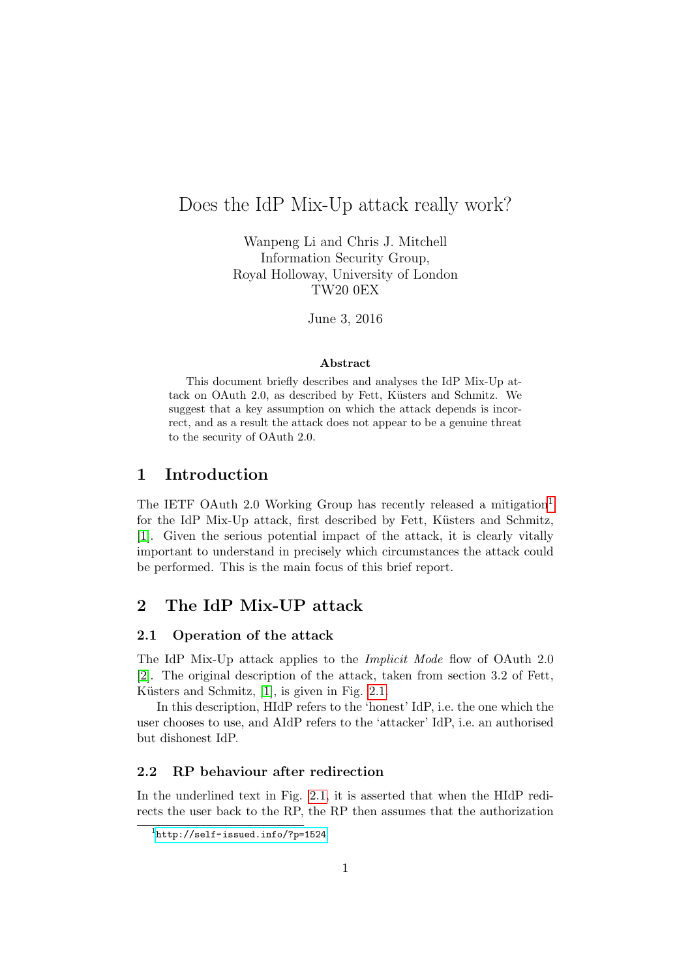# Does the IdP Mix-Up attack really work?

Wanpeng Li and Chris J. Mitchell Information Security Group, Royal Holloway, University of London TW20 0EX

June 3, 2016

#### Abstract

This document briefly describes and analyses the IdP Mix-Up attack on OAuth 2.0, as described by Fett, Küsters and Schmitz. We suggest that a key assumption on which the attack depends is incorrect, and as a result the attack does not appear to be a genuine threat to the security of OAuth 2.0.

## 1 Introduction

The IETF OAuth 2.0 Working Group has recently released a mitigation<sup>[1](#page-0-0)</sup> for the IdP Mix-Up attack, first described by Fett, Küsters and Schmitz, [\[1\]](#page-3-0). Given the serious potential impact of the attack, it is clearly vitally important to understand in precisely which circumstances the attack could be performed. This is the main focus of this brief report.

## 2 The IdP Mix-UP attack

#### 2.1 Operation of the attack

The IdP Mix-Up attack applies to the Implicit Mode flow of OAuth 2.0 [\[2\]](#page-3-1). The original description of the attack, taken from section 3.2 of Fett, Küsters and Schmitz,  $[1]$ , is given in Fig. [2.1.](#page-1-0)

In this description, HIdP refers to the 'honest' IdP, i.e. the one which the user chooses to use, and AIdP refers to the 'attacker' IdP, i.e. an authorised but dishonest IdP.

### 2.2 RP behaviour after redirection

In the underlined text in Fig. [2.1,](#page-1-0) it is asserted that when the HIdP redirects the user back to the RP, the RP then assumes that the authorization

<span id="page-0-0"></span><sup>1</sup> <http://self-issued.info/?p=1524>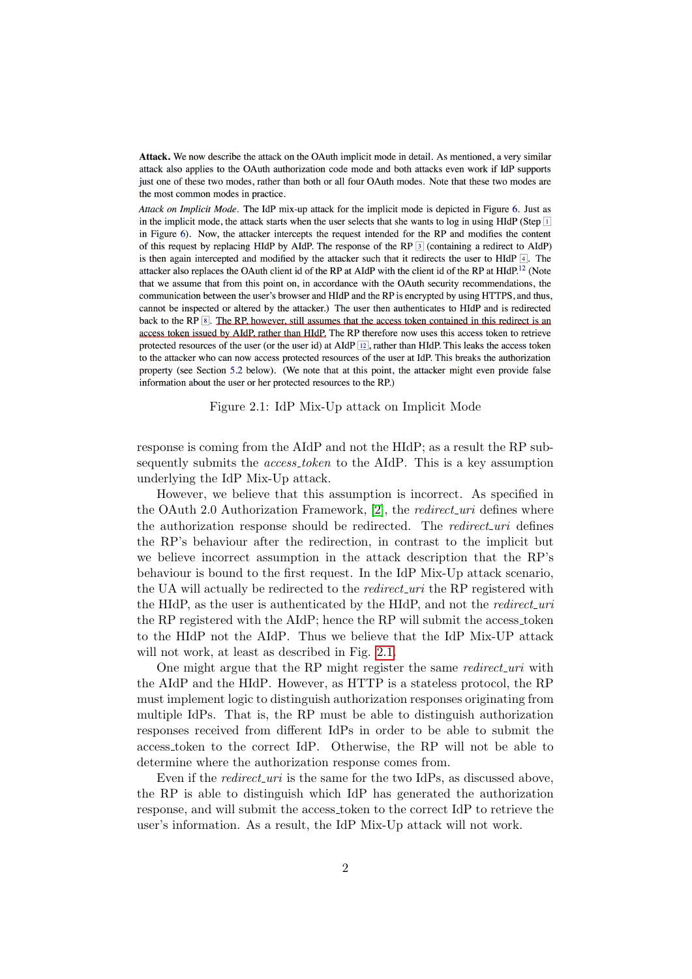<span id="page-1-0"></span>Attack. We now describe the attack on the OAuth implicit mode in detail. As mentioned, a very similar attack also applies to the OAuth authorization code mode and both attacks even work if IdP supports just one of these two modes, rather than both or all four OAuth modes. Note that these two modes are the most common modes in practice.

Attack on Implicit Mode. The IdP mix-up attack for the implicit mode is depicted in Figure 6. Just as in the implicit mode, the attack starts when the user selects that she wants to log in using HIdP (Step II in Figure 6). Now, the attacker intercepts the request intended for the RP and modifies the content of this request by replacing HIdP by AIdP. The response of the RP 3 (containing a redirect to AIdP) is then again intercepted and modified by the attacker such that it redirects the user to HIdP  $\boxed{4}$ . The attacker also replaces the OAuth client id of the RP at AIdP with the client id of the RP at HIdP.<sup>12</sup> (Note that we assume that from this point on, in accordance with the OAuth security recommendations, the communication between the user's browser and HIdP and the RP is encrypted by using HTTPS, and thus, cannot be inspected or altered by the attacker.) The user then authenticates to HIdP and is redirected back to the RP  $\boxed{8}$ . The RP, however, still assumes that the access token contained in this redirect is an access token issued by AIdP, rather than HIdP. The RP therefore now uses this access token to retrieve protected resources of the user (or the user id) at AIdP  $\boxed{12}$ , rather than HIdP. This leaks the access token to the attacker who can now access protected resources of the user at IdP. This breaks the authorization property (see Section 5.2 below). (We note that at this point, the attacker might even provide false information about the user or her protected resources to the RP.)

Figure 2.1: IdP Mix-Up attack on Implicit Mode

response is coming from the AIdP and not the HIdP; as a result the RP subsequently submits the *access\_token* to the AIdP. This is a key assumption underlying the IdP Mix-Up attack.

However, we believe that this assumption is incorrect. As specified in the OAuth 2.0 Authorization Framework, [\[2\]](#page-3-1), the *redirect uri* defines where the authorization response should be redirected. The redirect uri defines the RP's behaviour after the redirection, in contrast to the implicit but we believe incorrect assumption in the attack description that the RP's behaviour is bound to the first request. In the IdP Mix-Up attack scenario, the UA will actually be redirected to the *redirect uri* the RP registered with the HIdP, as the user is authenticated by the HIdP, and not the *redirect\_uri* the RP registered with the AIdP; hence the RP will submit the access token to the HIdP not the AIdP. Thus we believe that the IdP Mix-UP attack will not work, at least as described in Fig. [2.1.](#page-1-0)

One might argue that the RP might register the same *redirect\_uri* with the AIdP and the HIdP. However, as HTTP is a stateless protocol, the RP must implement logic to distinguish authorization responses originating from multiple IdPs. That is, the RP must be able to distinguish authorization responses received from different IdPs in order to be able to submit the access token to the correct IdP. Otherwise, the RP will not be able to determine where the authorization response comes from.

Even if the *redirect\_uri* is the same for the two IdPs, as discussed above, the RP is able to distinguish which IdP has generated the authorization response, and will submit the access token to the correct IdP to retrieve the user's information. As a result, the IdP Mix-Up attack will not work.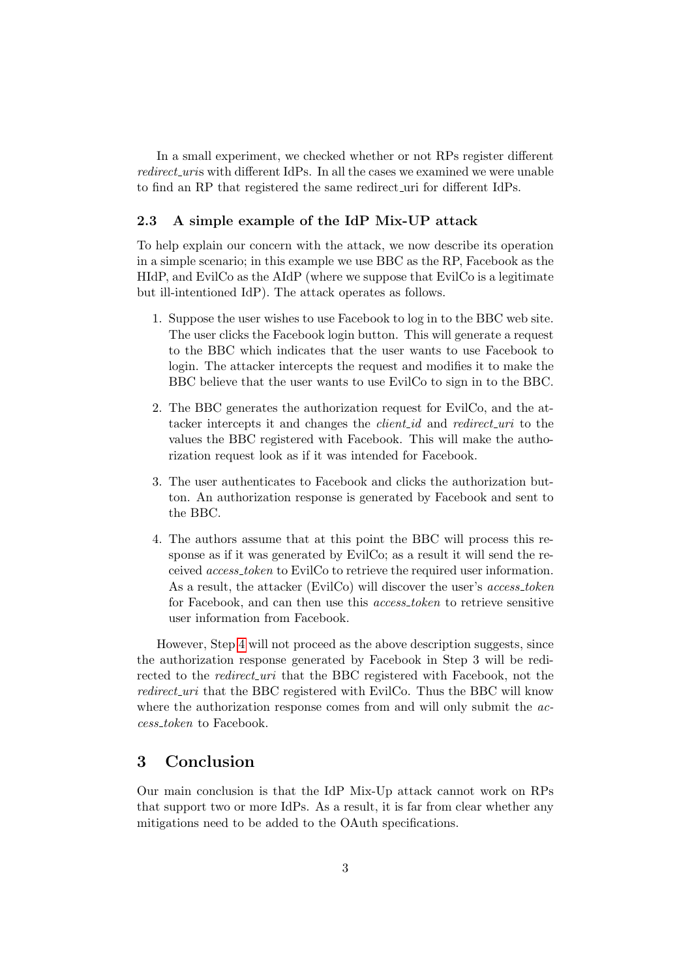In a small experiment, we checked whether or not RPs register different redirect\_uris with different IdPs. In all the cases we examined we were unable to find an RP that registered the same redirect uri for different IdPs.

#### 2.3 A simple example of the IdP Mix-UP attack

To help explain our concern with the attack, we now describe its operation in a simple scenario; in this example we use BBC as the RP, Facebook as the HIdP, and EvilCo as the AIdP (where we suppose that EvilCo is a legitimate but ill-intentioned IdP). The attack operates as follows.

- 1. Suppose the user wishes to use Facebook to log in to the BBC web site. The user clicks the Facebook login button. This will generate a request to the BBC which indicates that the user wants to use Facebook to login. The attacker intercepts the request and modifies it to make the BBC believe that the user wants to use EvilCo to sign in to the BBC.
- 2. The BBC generates the authorization request for EvilCo, and the attacker intercepts it and changes the *client id* and *redirect uri* to the values the BBC registered with Facebook. This will make the authorization request look as if it was intended for Facebook.
- 3. The user authenticates to Facebook and clicks the authorization button. An authorization response is generated by Facebook and sent to the BBC.
- <span id="page-2-0"></span>4. The authors assume that at this point the BBC will process this response as if it was generated by EvilCo; as a result it will send the received access token to EvilCo to retrieve the required user information. As a result, the attacker (EvilCo) will discover the user's *access\_token* for Facebook, and can then use this *access\_token* to retrieve sensitive user information from Facebook.

However, Step [4](#page-2-0) will not proceed as the above description suggests, since the authorization response generated by Facebook in Step 3 will be redirected to the *redirect\_uri* that the BBC registered with Facebook, not the redirect uri that the BBC registered with EvilCo. Thus the BBC will know where the authorization response comes from and will only submit the *ac*cess token to Facebook.

## 3 Conclusion

Our main conclusion is that the IdP Mix-Up attack cannot work on RPs that support two or more IdPs. As a result, it is far from clear whether any mitigations need to be added to the OAuth specifications.